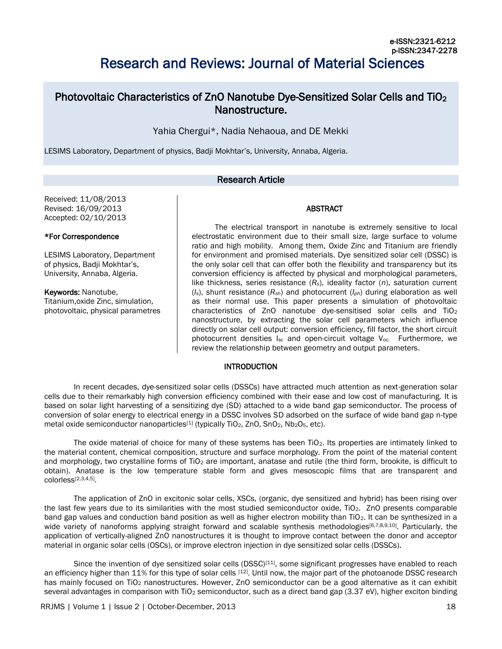# Research and Reviews: Journal of Material Sciences

# Photovoltaic Characteristics of ZnO Nanotube Dye-Sensitized Solar Cells and TiO<sup>2</sup> Nanostructure.

Yahia Chergui\*, Nadia Nehaoua, and DE Mekki

LESIMS Laboratory, Department of physics, Badji Mokhtar's, University, Annaba, Algeria.

# Research Article

Received: 11/08/2013 Revised: 16/09/2013 Accepted: 02/10/2013

#### \*For Correspondence

LESIMS Laboratory, Department of physics, Badji Mokhtar's, University, Annaba, Algeria.

Keywords: Nanotube, Titanium,oxide Zinc, simulation, photovoltaic, physical parametres

The electrical transport in nanotube is extremely sensitive to local electrostatic environment due to their small size, large surface to volume ratio and high mobility. Among them, Oxide Zinc and Titanium are friendly for environment and promised materials. Dye sensitized solar cell (DSSC) is the only solar cell that can offer both the flexibility and transparency but its conversion efficiency is affected by physical and morphological parameters, like thickness, series resistance (*Rs*), ideality factor (*n*), saturation current (*Is*), shunt resistance (*Rsh*) and photocurrent (*Iph*) during elaboration as well as their normal use. This paper presents a simulation of photovoltaic characteristics of ZnO nanotube dye-sensitised solar cells and TiO<sup>2</sup> nanostructure, by extracting the solar cell parameters which influence directly on solar cell output: conversion efficiency, fill factor, the short circuit photocurrent densities I<sub>sc</sub> and open-circuit voltage V<sub>oc.</sub> Furthermore, we review the relationship between geometry and output parameters.

ABSTRACT

### INTRODUCTION

In recent decades, dye-sensitized solar cells (DSSCs) have attracted much attention as next-generation solar cells due to their remarkably high conversion efficiency combined with their ease and low cost of manufacturing. It is based on solar light harvesting of a sensitizing dye (SD) attached to a wide band gap semiconductor. The process of conversion of solar energy to electrical energy in a DSSC involves SD adsorbed on the surface of wide band gap n-type metal oxide semiconductor nanoparticles<sup>[1]</sup> (typically TiO<sub>2</sub>, ZnO, SnO<sub>2</sub>, Nb<sub>2</sub>O<sub>5</sub>, etc).

The oxide material of choice for many of these systems has been  $TiO<sub>2</sub>$ . Its properties are intimately linked to the material content, chemical composition, structure and surface morphology. From the point of the material content and morphology, two crystalline forms of  $TiO<sub>2</sub>$  are important, anatase and rutile (the third form, brookite, is difficult to obtain). Anatase is the low temperature stable form and gives mesoscopic films that are transparent and colorless[2,3,4,5] .

The application of ZnO in excitonic solar cells, XSCs, (organic, dye sensitized and hybrid) has been rising over the last few years due to its similarities with the most studied semiconductor oxide, TiO2. ZnO presents comparable band gap values and conduction band position as well as higher electron mobility than TiO<sub>2</sub>. It can be synthesized in a wide variety of nanoforms applying straight forward and scalable synthesis methodologies<sup>[6,7,8,9,10]</sup>. Particularly, the application of vertically-aligned ZnO nanostructures it is thought to improve contact between the donor and acceptor material in organic solar cells (OSCs), or improve electron injection in dye sensitized solar cells (DSSCs).

Since the invention of dye sensitized solar cells (DSSC)<sup>[11]</sup>, some significant progresses have enabled to reach an efficiency higher than 11% for this type of solar cells [12]. Until now, the major part of the photoanode DSSC research has mainly focused on TiO<sub>2</sub> nanostructures. However, ZnO semiconductor can be a good alternative as it can exhibit several advantages in comparison with TiO<sub>2</sub> semiconductor, such as a direct band gap (3.37 eV), higher exciton binding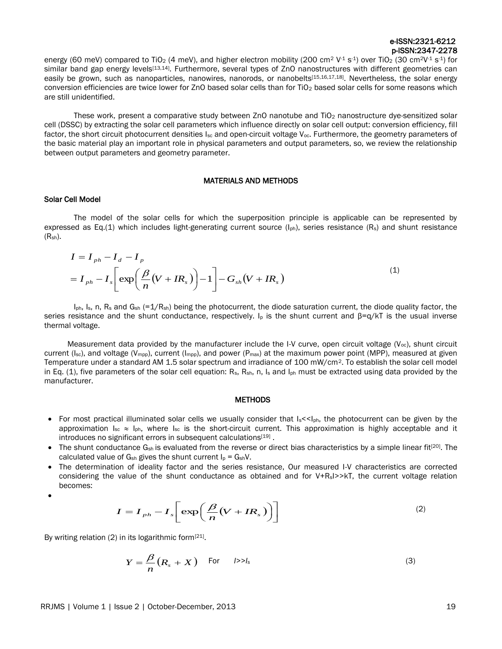energy (60 meV) compared to TiO<sub>2</sub> (4 meV), and higher electron mobility (200 cm<sup>2</sup>V<sup>-1</sup> s<sup>-1</sup>) over TiO<sub>2</sub> (30 cm<sup>2</sup>V<sup>-1</sup> s<sup>-1</sup>) for similar band gap energy levels<sup>[13,14]</sup>. Furthermore, several types of ZnO nanostructures with different geometries can easily be grown, such as nanoparticles, nanowires, nanorods, or nanobelts<sup>[15,16,17,18]</sup>. Nevertheless, the solar energy conversion efficiencies are twice lower for ZnO based solar cells than for TiO<sub>2</sub> based solar cells for some reasons which are still unidentified.

These work, present a comparative study between ZnO nanotube and TiO<sub>2</sub> nanostructure dye-sensitized solar cell (DSSC) by extracting the solar cell parameters which influence directly on solar cell output: conversion efficiency, fill factor, the short circuit photocurrent densities  $I_{\text{sc}}$  and open-circuit voltage  $V_{\text{oc}}$ . Furthermore, the geometry parameters of the basic material play an important role in physical parameters and output parameters, so, we review the relationship between output parameters and geometry parameter.

#### MATERIALS AND METHODS

#### Solar Cell Model

The model of the solar cells for which the superposition principle is applicable can be represented by expressed as Eq.(1) which includes light-generating current source  $(I_{ph})$ , series resistance  $(R_s)$  and shunt resistance  $(R<sub>sh</sub>)$ .

$$
I = I_{ph} - I_d - I_p
$$
  
=  $I_{ph} - I_s \left[ exp \left( \frac{\beta}{n} (V + IR_s) \right) - 1 \right] - G_{sh} (V + IR_s)$  (1)

 $I_{ph}$ , I<sub>s</sub>, n, R<sub>s</sub> and G<sub>sh</sub> (=1/R<sub>sh</sub>) being the photocurrent, the diode saturation current, the diode quality factor, the series resistance and the shunt conductance, respectively. I<sub>p</sub> is the shunt current and  $\beta = q/kT$  is the usual inverse thermal voltage.

Measurement data provided by the manufacturer include the I-V curve, open circuit voltage ( $V_{\text{oc}}$ ), shunt circuit current (I<sub>sc</sub>), and voltage (V<sub>mpp</sub>), current (I<sub>mpp</sub>), and power (P<sub>max</sub>) at the maximum power point (MPP), measured at given Temperature under a standard AM 1.5 solar spectrum and irradiance of 100 mW/cm2. To establish the solar cell model in Eq. (1), five parameters of the solar cell equation:  $R_s$ ,  $R_{sh}$ , n,  $I_s$  and  $I_{oh}$  must be extracted using data provided by the manufacturer.

#### **METHODS**

- For most practical illuminated solar cells we usually consider that  $Is < I_{ph}$ , the photocurrent can be given by the approximation  $I_{sc} \approx I_{ph}$ , where  $I_{sc}$  is the short-circuit current. This approximation is highly acceptable and it introduces no significant errors in subsequent calculations<sup>[19]</sup>.
- The shunt conductance  $G_{\rm sh}$  is evaluated from the reverse or direct bias characteristics by a simple linear fit<sup>[20]</sup>. The calculated value of  $G_{sh}$  gives the shunt current  $I_p = G_{sh}V$ .
- The determination of ideality factor and the series resistance, Our measured I-V characteristics are corrected considering the value of the shunt conductance as obtained and for  $V+R_sI>>kT$ , the current voltage relation becomes:
- $\bullet$

$$
I = I_{ph} - I_s \left[ \exp\left(\frac{\beta}{n}(V + IR_s)\right) \right]
$$
 (2)

By writing relation (2) in its logarithmic form<sup>[21]</sup>.

$$
Y = \frac{\beta}{n} (R_s + X) \quad \text{For} \quad \text{1>>} I_s \tag{3}
$$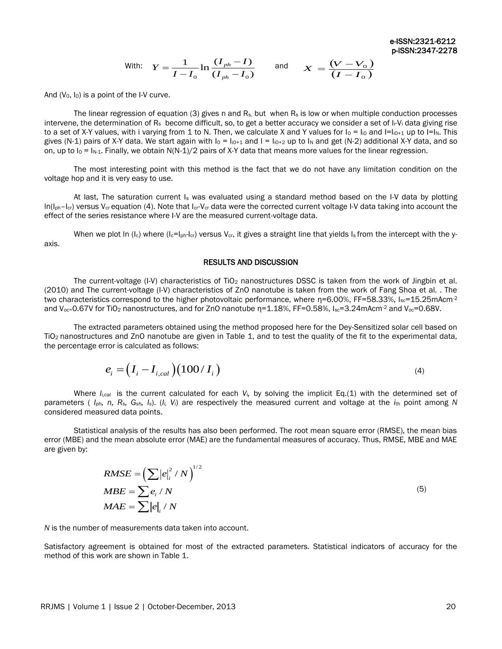With: 
$$
Y = \frac{1}{I - I_0} \ln \frac{(I_{ph} - I)}{(I_{ph} - I_0)}
$$
 and  $X = \frac{(V - V_0)}{(I - I_0)}$ 

And  $(V_0, I_0)$  is a point of the I-V curve.

The linear regression of equation (3) gives n and  $R_s$ , but when  $R_s$  is low or when multiple conduction processes intervene, the determination of  $R_s$  become difficult, so, to get a better accuracy we consider a set of  $I_i-V_i$  data giving rise to a set of X-Y values, with i varying from 1 to N. Then, we calculate X and Y values for  $I_0 = I_{10}$  and  $I = I_{10+1}$  up to  $I = I_N$ . This gives (N-1) pairs of X-Y data. We start again with  $I_0 = I_{10+1}$  and  $I = I_{10+2}$  up to  $I_N$  and get (N-2) additional X-Y data, and so on, up to  $I_0 = I_{N-1}$ . Finally, we obtain N(N-1)/2 pairs of X-Y data that means more values for the linear regression.

The most interesting point with this method is the fact that we do not have any limitation condition on the voltage hop and it is very easy to use.

At last, The saturation current  $I_s$  was evaluated using a standard method based on the I-V data by plotting  $ln(I<sub>ph</sub>-I<sub>cr</sub>)$  versus V<sub>cr</sub> equation (4). Note that  $I<sub>cr</sub>-V<sub>cr</sub>$  data were the corrected current voltage I-V data taking into account the effect of the series resistance where I-V are the measured current-voltage data.

When we plot ln (I<sub>c</sub>) where (I<sub>c</sub>=I<sub>ph-Icr</sub>) versus V<sub>cr</sub>, it gives a straight line that yields I<sub>s</sub> from the intercept with the yaxis.

### RESULTS AND DISCUSSION

The current-voltage (I-V) characteristics of TiO<sub>2</sub> nanostructures DSSC is taken from the work of Jingbin et al. (2010) and The current-voltage (I-V) characteristics of ZnO nanotube is taken from the work of Fang Shoa et al. . The two characteristics correspond to the higher photovoltaic performance, where  $n=6.00\%$ , FF=58.33%, I<sub>sc</sub>=15.25mAcm<sup>-2</sup> and V<sub>oc</sub>=0.67V for TiO<sub>2</sub> nanostructures, and for ZnO nanotube  $n=1.18\%$ , FF=0.58%, I<sub>sc</sub>=3.24mAcm<sup>-2</sup> and V<sub>oc</sub>=0.68V.

The extracted parameters obtained using the method proposed here for the Dey-Sensitized solar cell based on TiO2 nanostructures and ZnO nanotube are given in Table 1, and to test the quality of the fit to the experimental data, the percentage error is calculated as follows:

$$
e_i = \left(I_i - I_{i,cal}\right)\left(100 / I_i\right) \tag{4}
$$

Where *Ii,cal* is the current calculated for each *Vi,* by solving the implicit Eq.(1) with the determined set of parameters ( *Iph, n, Rs, Gsh, Is*). (*Ii, Vi*) are respectively the measured current and voltage at the *i*th point among *N* considered measured data points.

Statistical analysis of the results has also been performed. The root mean square error (RMSE), the mean bias error (MBE) and the mean absolute error (MAE) are the fundamental measures of accuracy. Thus, RMSE, MBE and MAE are given by:

$$
RMSE = \left(\sum |e_i|^2 / N\right)^{1/2}
$$
  
\n
$$
MBE = \sum e_i / N
$$
  
\n
$$
MAE = \sum |e_i / N
$$
\n(5)

 $1/2$ 

*N* is the number of measurements data taken into account.

Satisfactory agreement is obtained for most of the extracted parameters. Statistical indicators of accuracy for the method of this work are shown in Table 1.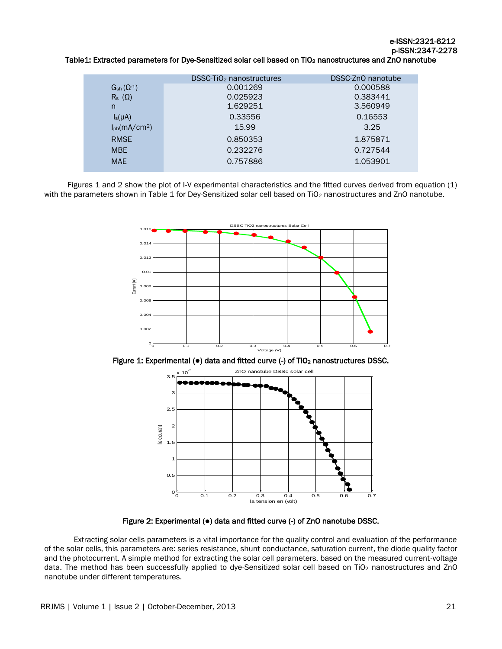## Table1: Extracted parameters for Dye-Sensitized solar cell based on TiO<sub>2</sub> nanostructures and ZnO nanotube

|                                | DSSC-TiO <sub>2</sub> nanostructures | DSSC-ZnO nanotube |
|--------------------------------|--------------------------------------|-------------------|
| $G_{\textrm{sh}}(\Omega^{.1})$ | 0.001269                             | 0.000588          |
| $R_s(\Omega)$                  | 0.025923                             | 0.383441          |
| n                              | 1.629251                             | 3.560949          |
| $I_s(\mu A)$                   | 0.33556                              | 0.16553           |
| $I_{ph}(mA/cm2)$               | 15.99                                | 3.25              |
| <b>RMSE</b>                    | 0.850353                             | 1.875871          |
| <b>MBE</b>                     | 0.232276                             | 0.727544          |
| <b>MAE</b>                     | 0.757886                             | 1.053901          |
|                                |                                      |                   |

Figures 1 and 2 show the plot of I-V experimental characteristics and the fitted curves derived from equation (1) with the parameters shown in Table 1 for Dey-Sensitized solar cell based on TiO<sub>2</sub> nanostructures and ZnO nanotube.



Figure 1: Experimental (●) data and fitted curve (-) of TiO<sub>2</sub> nanostructures DSSC.



Figure 2: Experimental (●) data and fitted curve (-) of ZnO nanotube DSSC.

Extracting solar cells parameters is a vital importance for the quality control and evaluation of the performance of the solar cells, this parameters are: series resistance, shunt conductance, saturation current, the diode quality factor and the photocurrent. A simple method for extracting the solar cell parameters, based on the measured current-voltage data. The method has been successfully applied to dye-Sensitized solar cell based on TiO<sub>2</sub> nanostructures and ZnO nanotube under different temperatures.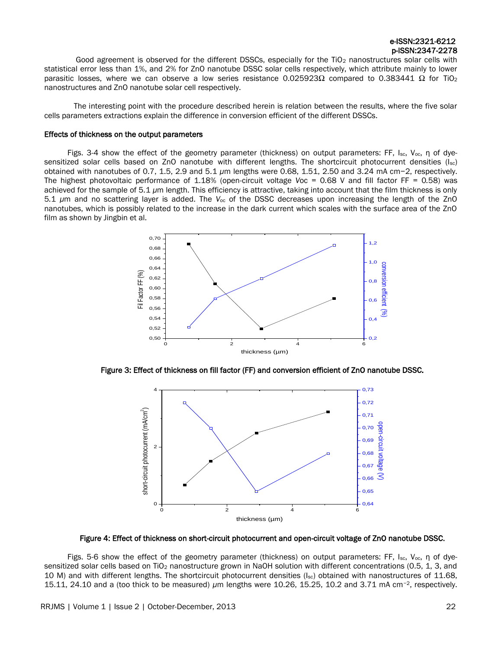Good agreement is observed for the different DSSCs, especially for the TiO<sub>2</sub> nanostructures solar cells with statistical error less than 1%, and 2% for ZnO nanotube DSSC solar cells respectively, which attribute mainly to lower parasitic losses, where we can observe a low series resistance 0.025923Ω compared to 0.383441 Ω for TiO<sub>2</sub> nanostructures and ZnO nanotube solar cell respectively.

The interesting point with the procedure described herein is relation between the results, where the five solar cells parameters extractions explain the difference in conversion efficient of the different DSSCs.

#### Effects of thickness on the output parameters

Figs. 3-4 show the effect of the geometry parameter (thickness) on output parameters: FF, I<sub>sc</sub>, V<sub>oc</sub>, η of dyesensitized solar cells based on ZnO nanotube with different lengths. The shortcircuit photocurrent densities (Isc) obtained with nanotubes of 0.7, 1.5, 2.9 and 5*.*1 *μ*m lengths were 0.68, 1.51, 2.50 and 3*.*24 mA cm−2, respectively. The highest photovoltaic performance of 1.18% (open-circuit voltage *V*oc = 0*.*68 V and fill factor FF = 0*.*58) was achieved for the sample of 5*.*1 *μ*m length. This efficiency is attractive, taking into account that the film thickness is only 5*.*1 *μ*m and no scattering layer is added. The *V*oc of the DSSC decreases upon increasing the length of the ZnO nanotubes, which is possibly related to the increase in the dark current which scales with the surface area of the ZnO film as shown by Jingbin et al.



Figure 3: Effect of thickness on fill factor (FF) and conversion efficient of ZnO nanotube DSSC.



Figure 4: Effect of thickness on short-circuit photocurrent and open-circuit voltage of ZnO nanotube DSSC.

Figs. 5-6 show the effect of the geometry parameter (thickness) on output parameters: FF, Isc, Voc, η of dyesensitized solar cells based on TiO<sub>2</sub> nanostructure grown in NaOH solution with different concentrations (0.5, 1, 3, and 10 M) and with different lengths. The shortcircuit photocurrent densities ( $I_{sc}$ ) obtained with nanostructures of 11.68, 15.11, 24.10 and a (too thick to be measured) *μ*m lengths were 10.26, 15.25, 10.2 and 3.71 mA cm−2, respectively.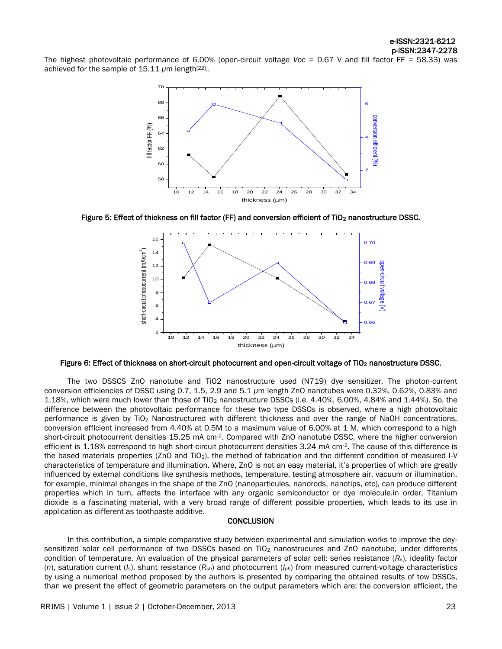The highest photovoltaic performance of 6.00% (open-circuit voltage *V*oc = 0.67 V and fill factor FF = 58.33) was achieved for the sample of 15.11 μm length<sup>[22]</sup>..



Figure 5: Effect of thickness on fill factor (FF) and conversion efficient of TiO<sub>2</sub> nanostructure DSSC.



Figure 6: Effect of thickness on short-circuit photocurrent and open-circuit voltage of TiO<sub>2</sub> nanostructure DSSC.

The two DSSCS ZnO nanotube and TiO2 nanostructure used (N719) dye sensitizer, The photon-current conversion efficiencies of DSSC using 0.7, 1.5, 2.9 and 5*.*1 *μ*m length ZnO nanotubes were 0.32%, 0.62%, 0.83% and 1.18%, which were much lower than those of TiO<sup>2</sup> nanostructure DSSCs (i.e. 4.40%, 6.00%, 4.84% and 1.44%). So, the difference between the photovoltaic performance for these two type DSSCs is observed, where a high photovoltaic performance is given by TiO<sup>2</sup> Nanostructured with different thickness and over the range of NaOH concentrations, conversion efficient increased from 4.40% at 0.5M to a maximum value of 6.00% at 1 M, which correspond to a high short-circuit photocurrent densities 15.25 mA cm<sup>-2</sup>. Compared with ZnO nanotube DSSC, where the higher conversion efficient is  $1.18\%$  correspond to high short-circuit photocurrent densities  $3.24$  mA cm<sup>-2</sup>. The cause of this difference is the based materials properties (ZnO and TiO2), the method of fabrication and the different condition of measured I-V characteristics of temperature and illumination. Where, ZnO is not an easy material, it's properties of which are greatly influenced by external conditions like synthesis methods, temperature, testing atmosphere air, vacuum or illumination, for example, minimal changes in the shape of the ZnO (nanoparticules, nanorods, nanotips, etc), can produce different properties which in turn, affects the interface with any organic semiconductor or dye molecule.in order, Titanium dioxide is a fascinating material, with a very broad range of different possible properties, which leads to its use in application as different as toothpaste additive.

#### **CONCLUSION**

In this contribution, a simple comparative study between experimental and simulation works to improve the deysensitized solar cell performance of two DSSCs based on TiO<sub>2</sub> nanostrucures and ZnO nanotube, under differents condition of temperature. An evaluation of the physical parameters of solar cell: series resistance (*Rs*), ideality factor (*n*), saturation current (*Is*), shunt resistance (*Rsh*) and photocurrent (*Iph*) from measured current-voltage characteristics by using a numerical method proposed by the authors is presented by comparing the obtained results of tow DSSCs, than we present the effect of geometric parameters on the output parameters which are: the conversion efficient, the